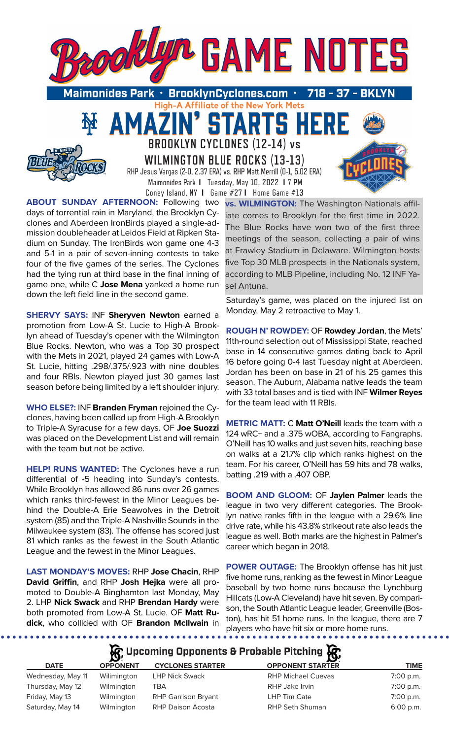

High-A Affiliate of the New York Mets

TARTS HE

**WILMINGTON BLUE ROCKS (13-13)** RHP Jesus Vargas (2-0, 2.37 ERA) vs. RHP Matt Merrill (0-1, 5.02 ERA) Maimonides Park **I** Tuesday, May 10, 2022 **I** 7 PM Coney Island, NY **I** Game #27 **I** Home Game #13

**BROOKLYN CYCLONES (12-14) vs** 

51

**ABOUT SUNDAY AFTERNOON:** Following two days of torrential rain in Maryland, the Brooklyn Cyclones and Aberdeen IronBirds played a single-admission doubleheader at Leidos Field at Ripken Stadium on Sunday. The IronBirds won game one 4-3 and 5-1 in a pair of seven-inning contests to take four of the five games of the series. The Cyclones had the tying run at third base in the final inning of game one, while C **Jose Mena** yanked a home run down the left field line in the second game.

AMAZ

**SHERVY SAYS:** INF **Sheryven Newton** earned a promotion from Low-A St. Lucie to High-A Brooklyn ahead of Tuesday's opener with the Wilmington Blue Rocks. Newton, who was a Top 30 prospect with the Mets in 2021, played 24 games with Low-A St. Lucie, hitting .298/.375/.923 with nine doubles and four RBIs. Newton played just 30 games last season before being limited by a left shoulder injury.

**WHO ELSE?:** INF **Branden Fryman** rejoined the Cyclones, having been called up from High-A Brooklyn to Triple-A Syracuse for a few days. OF **Joe Suozzi**  was placed on the Development List and will remain with the team but not be active.

**HELP! RUNS WANTED:** The Cyclones have a run differential of -5 heading into Sunday's contests. While Brooklyn has allowed 86 runs over 26 games which ranks third-fewest in the Minor Leagues behind the Double-A Erie Seawolves in the Detroit system (85) and the Triple-A Nashville Sounds in the Milwaukee system (83). The offense has scored just 81 which ranks as the fewest in the South Atlantic League and the fewest in the Minor Leagues.

**LAST MONDAY'S MOVES:** RHP **Jose Chacin**, RHP **David Griffin**, and RHP **Josh Hejka** were all promoted to Double-A Binghamton last Monday, May 2. LHP **Nick Swack** and RHP **Brendan Hardy** were both promoted from Low-A St. Lucie. OF **Matt Rudick**, who collided with OF **Brandon McIlwain** in

. . . . . . . . . . . . . . . . . .

**vs. WILMINGTON:** The Washington Nationals affiliate comes to Brooklyn for the first time in 2022. The Blue Rocks have won two of the first three meetings of the season, collecting a pair of wins at Frawley Stadium in Delaware. Wilmington hosts five Top 30 MLB prospects in the Nationals system, according to MLB Pipeline, including No. 12 INF Yasel Antuna.

Saturday's game, was placed on the injured list on Monday, May 2 retroactive to May 1.

**ROUGH N' ROWDEY:** OF **Rowdey Jordan**, the Mets' 11th-round selection out of Mississippi State, reached base in 14 consecutive games dating back to April 16 before going 0-4 last Tuesday night at Aberdeen. Jordan has been on base in 21 of his 25 games this season. The Auburn, Alabama native leads the team with 33 total bases and is tied with INF **Wilmer Reyes**  for the team lead with 11 RBIs.

**METRIC MATT:** C **Matt O'Neill** leads the team with a 124 wRC+ and a .375 wOBA, according to Fangraphs. O'Neill has 10 walks and just seven hits, reaching base on walks at a 21.7% clip which ranks highest on the team. For his career, O'Neill has 59 hits and 78 walks, batting .219 with a .407 OBP.

**BOOM AND GLOOM:** OF **Jaylen Palmer** leads the league in two very different categories. The Brooklyn native ranks fifth in the league with a 29.6% line drive rate, while his 43.8% strikeout rate also leads the league as well. Both marks are the highest in Palmer's career which began in 2018.

**POWER OUTAGE:** The Brooklyn offense has hit just five home runs, ranking as the fewest in Minor League baseball by two home runs because the Lynchburg Hillcats (Low-A Cleveland) have hit seven. By comparison, the South Atlantic League leader, Greenville (Boston), has hit 51 home runs. In the league, there are 7 players who have hit six or more home runs.

# **R** Upcoming Opponents & Probable Pitching

| <b>DATE</b>       | <b>OPPONENT</b> | <b>CYCLONES STARTER</b>    | <b>OPPONENT STARTER</b>   | <b>TIME</b> |
|-------------------|-----------------|----------------------------|---------------------------|-------------|
| Wednesday, May 11 | Wilimington     | <b>LHP Nick Swack</b>      | <b>RHP Michael Cuevas</b> | 7:00 p.m.   |
| Thursday, May 12  | Wilmington      | TBA                        | RHP Jake Irvin            | 7:00 p.m.   |
| Friday, May 13    | Wilmington      | <b>RHP Garrison Bryant</b> | LHP Tim Cate              | 7:00 p.m.   |
| Saturday, May 14  | Wilmington      | RHP Daison Acosta          | <b>RHP Seth Shuman</b>    | $6:00$ p.m. |
|                   |                 |                            |                           |             |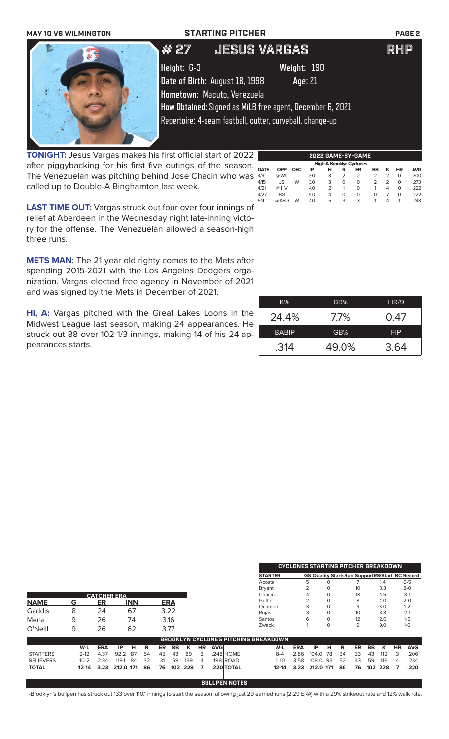| <b>MAY 10 VS WILMINGTON</b> | <b>STARTING PITCHER</b>                                   | <b>PAGE 2</b> |
|-----------------------------|-----------------------------------------------------------|---------------|
|                             | <b>LJESUS VARGAS</b><br>,    # 27                         | <b>RHP</b>    |
|                             | Height: 6-3<br>Weight: 198                                |               |
|                             | Date of Birth: August 18, 1998<br>Age: 21                 |               |
|                             | Hometown: Macuto, Venezuela                               |               |
|                             | How Obtained: Signed as MiLB free agent, December 6, 2021 |               |
|                             | Repertoire: 4-seam fastball, cutter, curveball, change-up |               |
|                             |                                                           |               |

**TONIGHT:** Jesus Vargas makes his first official start of 2022 after piggybacking for his first five outings of the season. The Venezuelan was pitching behind Jose Chacin who was  $\frac{22}{49}$ called up to Double-A Binghamton last week.

**LAST TIME OUT:** Vargas struck out four over four innings of relief at Aberdeen in the Wednesday night late-inning victory for the offense. The Venezuelan allowed a season-high three runs.

**METS MAN:** The 21 year old righty comes to the Mets after spending 2015-2021 with the Los Angeles Dodgers organization. Vargas elected free agency in November of 2021 and was signed by the Mets in December of 2021.

**HI, A:** Vargas pitched with the Great Lakes Loons in the Midwest League last season, making 24 appearances. He struck out 88 over 102 1/3 innings, making 14 of his 24 appearances starts.

| K%           | BB%   | HR/9       |
|--------------|-------|------------|
| 24.4%        | 7.7%  | 0.47       |
| <b>BABIP</b> | GB%   | <b>FIP</b> |
| .314         | 49.0% | 3.64       |

|                  |           |            |                    |            |    |      |            |     |    |            |                      |                                             |            | <b>CYCLONES STARTING PITCHER BREAKDOWN</b>            |          |    |    |     |     |    |            |
|------------------|-----------|------------|--------------------|------------|----|------|------------|-----|----|------------|----------------------|---------------------------------------------|------------|-------------------------------------------------------|----------|----|----|-----|-----|----|------------|
|                  |           |            |                    |            |    |      |            |     |    |            |                      |                                             |            |                                                       |          |    |    |     |     |    |            |
|                  |           |            |                    |            |    |      |            |     |    |            |                      | <b>STARTER</b>                              |            | <b>GS Quality StartsRun SupportRS/Start BC Record</b> |          |    |    |     |     |    |            |
|                  |           |            |                    |            |    |      |            |     |    |            |                      | Acosta                                      |            | 5                                                     | O        |    |    |     | 1.4 |    | $0 - 5$    |
|                  |           |            |                    |            |    |      |            |     |    |            |                      | <b>Bryant</b>                               |            | $\overline{2}$                                        | $\Omega$ |    | 10 |     | 3.3 |    | $2 - 0$    |
|                  |           |            | <b>CATCHER ERA</b> |            |    |      |            |     |    |            |                      | Chacin                                      |            | 4                                                     | $\Omega$ |    | 18 |     | 4.5 |    | $3-1$      |
| <b>NAME</b>      | G         | ER         |                    | <b>INN</b> |    |      | <b>ERA</b> |     |    |            |                      | Griffin                                     |            |                                                       | $\Omega$ |    | 8  |     | 4.0 |    | $2 - 0$    |
|                  |           |            |                    |            |    |      |            |     |    |            |                      | Ocampo                                      |            | 3                                                     | $\Omega$ |    | 9  |     | 3.0 |    | $1 - 2$    |
| Gaddis           | 8         | 24         |                    | 67         |    |      | 3.22       |     |    |            |                      | Rojas                                       |            |                                                       | 0        |    | 10 |     | 3.3 |    | $2 - 1$    |
| Mena             | 9         | 26         |                    | 74         |    |      | 3.16       |     |    |            |                      | Santos                                      |            | 6                                                     | 0        |    | 12 |     | 2.0 |    | $1 - 5$    |
| O'Neill          |           |            |                    |            |    | 3.77 |            |     |    |            |                      | Zwack                                       |            |                                                       | $\Omega$ |    | 9  |     | 9.0 |    | $1 - 0$    |
|                  | 9         | 26         |                    | 62         |    |      |            |     |    |            |                      |                                             |            |                                                       |          |    |    |     |     |    |            |
|                  |           |            |                    |            |    |      |            |     |    |            |                      | <b>BROOKLYN CYCLONES PITCHING BREAKDOWN</b> |            |                                                       |          |    |    |     |     |    |            |
|                  | W-L       | <b>ERA</b> | IP                 | н          | R  | ER   | BB         | К   | HR | <b>AVG</b> |                      | W-L                                         | <b>ERA</b> | IP                                                    | н        | R  | ER | BB  | К   | HR | <b>AVG</b> |
| <b>STARTERS</b>  | $2 - 12$  | 4.37       | 92.2               | 87         | 54 | 45   | 43         | 89  | 3  |            | .248 HOME            | $8 - 4$                                     | 2.86       | 104.0                                                 | 78       | 34 | 33 | 43  | 112 | 3  | .206       |
|                  |           |            |                    |            |    |      |            |     |    |            |                      |                                             |            |                                                       |          |    |    |     |     |    |            |
| <b>RELIEVERS</b> | $10 - 2$  | 2.34       | 119.1              | 84         | 32 | 31   | 59         | 139 | 4  |            | 198 ROAD.            | $4-10$                                      | 3.58       | 108.0                                                 | -93      | 52 | 43 | 59  | 116 | 4  | .234       |
| <b>TOTAL</b>     | $12 - 14$ | 3.23       | 212.0 171          |            | 86 | 76   | 102        | 228 | 7  |            | .220 TOTAL           | $12 - 14$                                   | 3.23       | 212.0 171                                             |          | 86 | 76 | 102 | 228 | 7  | .220       |
|                  |           |            |                    |            |    |      |            |     |    |            |                      |                                             |            |                                                       |          |    |    |     |     |    |            |
|                  |           |            |                    |            |    |      |            |     |    |            | <b>BULLPEN NOTES</b> |                                             |            |                                                       |          |    |    |     |     |    |            |

-Brooklyn's bullpen has struck out 133 over 110.1 innings to start the season, allowing just 29 earned runs (2.29 ERA) with a 29% strikeout rate and 12% walk rate.

**2022 GAME-BY-GAME**

**DATE OPP DEC IP H R ER BB K HR AVG** 4/9 @ WIL 3.0 3 2 2 2 2 0 .300 4/15 JS W 3.0 3 0 0 2 2 0 .273 4/21 @ HV 4.0 2 1 0 1 4 0 .222 4/27 BG 5.0 4 0 0 0 7 0 .222 5/4 @ ABD W 4.0 5 3 3 1 4 1 .243

**High-A Brooklyn Cyclor**<br>**DATE OPP DEC IP H R ER**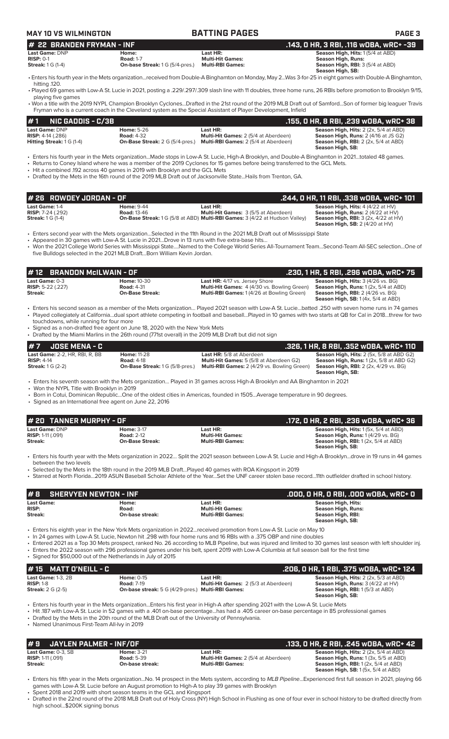## **MAY 10 VS WILMINGTON BATTING PAGES PAGE 3**

| I# 22 BRANDEN FRYMAN - INF |                                        | .143. 0 HR. 3 RBI. .116 wOBA. wRC+ -39 |                                                                                                                                                         |
|----------------------------|----------------------------------------|----------------------------------------|---------------------------------------------------------------------------------------------------------------------------------------------------------|
| Last Game: DNP             | Home:                                  | Last HR:                               | <b>Season High, Hits: 1(5/4 at ABD)</b>                                                                                                                 |
| $RISP: 0-1$                | <b>Road: 1-7</b>                       | <b>Multi-Hit Games:</b>                | Season High, Runs:                                                                                                                                      |
| <b>Streak:</b> 1 G (1-4)   | <b>On-base Streak: 1 G (5/4-pres.)</b> | <b>Multi-RBI Games:</b>                | <b>Season High, RBI: 3 (5/4 at ABD)</b>                                                                                                                 |
|                            |                                        |                                        | Season High, SB:                                                                                                                                        |
|                            |                                        |                                        | • Enters his fourth year in the Mets organizationreceived from Double-A Binghamton on Monday, May 2Was 3-for-25 in eight games with Double-A Binghamton |

hitting .120. • Played 69 games with Low-A St. Lucie in 2021, posting a .229/.297/.309 slash line with 11 doubles, three home runs, 26 RBIs before promotion to Brooklyn 9/15,

playing five games • Won a title with the 2019 NYPL Champion Brooklyn Cyclones...Drafted in the 21st round of the 2019 MLB Draft out of Samford...Son of former big leaguer Travis

Fryman who is a current coach in the Cleveland system as the Special Assistant of Player Development, Infield

|                              | $#1$ NIC GADDIS - C/3B           |                                        |                                             | .155, O HR, 8 RBI, .239 wOBA, wRC+ 38               |
|------------------------------|----------------------------------|----------------------------------------|---------------------------------------------|-----------------------------------------------------|
| Last Game: DNP               |                                  | <b>Home: 5-26</b>                      | Last HR:                                    | <b>Season High, Hits: 2 (2x, 5/4 at ABD)</b>        |
| <b>RISP:</b> $4-14$ $(.286)$ |                                  | <b>Road: 4-32</b>                      | <b>Multi-Hit Games: 2 (5/4 at Aberdeen)</b> | <b>Season High, Runs: 2 (4/16 at JS G2)</b>         |
|                              | <b>Hitting Streak: 1 G (1-4)</b> | <b>On-Base Streak: 2 G (5/4-pres.)</b> | <b>Multi-RBI Games: 2 (5/4 at Aberdeen)</b> | <b>Season High, RBI:</b> $2$ ( $2x$ , $5/4$ at ABD) |
|                              |                                  |                                        |                                             | Season High, SB:                                    |

• Enters his fourth year in the Mets organization...Made stops in Low-A St. Lucie, High-A Brooklyn, and Double-A Binghamton in 2021…totaled 48 games.

• Returns to Coney Island where he was a member of the 2019 Cyclones for 15 games before being transferred to the GCL Mets.

• Hit a combined .192 across 40 games in 2019 with Brooklyn and the GCL Mets

• Drafted by the Mets in the 16th round of the 2019 MLB Draft out of Jacksonville State...Hails from Trenton, GA.

| # 26   ROWDEY JORDAN - OF .                                                     |                                         |                                                                                                                                                      | . .244, 0 HR, 11 RBI, .338 wOBA, wRC+ 101                                                                                                                                         |
|---------------------------------------------------------------------------------|-----------------------------------------|------------------------------------------------------------------------------------------------------------------------------------------------------|-----------------------------------------------------------------------------------------------------------------------------------------------------------------------------------|
| <b>Last Game: 1-4</b><br><b>RISP:</b> $7-24$ (.292)<br><b>Streak:</b> 1 G (1-4) | <b>Home: 9-44</b><br><b>Road: 13-46</b> | Last HR:<br><b>Multi-Hit Games: 3 (5/5 at Aberdeen)</b><br><b>On-Base Streak:</b> 1 G (5/8 at ABD) <b>Multi-RBI Games:</b> 3 (4/22 at Hudson Valley) | <b>Season High, Hits: 4 (4/22 at HV)</b><br><b>Season High, Runs: 2 (4/22 at HV)</b><br><b>Season High, RBI:</b> $3$ (2x, $4/22$ at HV)<br><b>Season High, SB:</b> $2(4/20$ at HV |

• Enters second year with the Mets organization…Selected in the 11th Round in the 2021 MLB Draft out of Mississippi State

• Appeared in 30 games with Low-A St. Lucie in 2021…Drove in 13 runs with five extra-base hits…

• Won the 2021 College World Series with Mississippi State….Named to the College World Series All-Tournament Team…Second-Team All-SEC selection…One of five Bulldogs selected in the 2021 MLB Draft…Born William Kevin Jordan.

| <b>#12 BRANDON McILWAIN - OF</b>                        |                                                                   |                                                                                                                                          | .230, 1 HR, 5 RBI, .296 wOBA, wRC+ 75                                                                                                                                                 |
|---------------------------------------------------------|-------------------------------------------------------------------|------------------------------------------------------------------------------------------------------------------------------------------|---------------------------------------------------------------------------------------------------------------------------------------------------------------------------------------|
| Last Game: 0-3<br><b>RISP:</b> 5-22 $(.227)$<br>Streak: | <b>Home: 10-30</b><br><b>Road: 4-31</b><br><b>On-Base Streak:</b> | <b>Last HR: 4/17 vs. Jersey Shore</b><br><b>Multi-Hit Games:</b> 4 (4/30 vs. Bowling Green)<br>Multi-RBI Games: 1(4/26 at Bowling Green) | <b>Season High, Hits: 3 (4/26 vs. BG)</b><br><b>Season High, Runs:</b> $1(2x, 5/4$ at ABD)<br><b>Season High, RBI:</b> 2 (4/26 vs. BG)<br><b>Season High, SB:</b> $1(4x, 5/4$ at ABD) |

• Enters his second season as a member of the Mets organization… Played 2021 season with Low-A St. Lucie…batted .250 with seven home runs in 74 games • Played collegiately at California…dual sport athlete competing in football and baseball…Played in 10 games with two starts at QB for Cal in 2018…threw for two touchdowns, while running for four more

• Signed as a non-drafted free agent on June 18, 2020 with the New York Mets

• Drafted by the Miami Marlins in the 26th round (771st overall) in the 2019 MLB Draft but did not sign

| $#7$ JOSE MENA - C                     |                                        |                                                    | .326. 1 HR. 8 RBI. .352 WOBA. WRC+ 110          |
|----------------------------------------|----------------------------------------|----------------------------------------------------|-------------------------------------------------|
| <b>Last Game: 2-2. HR. RBI. R. BB.</b> | <b>Home: 11-28</b>                     | <b>Last HR:</b> 5/8 at Aberdeen                    | <b>Season High, Hits: 2 (5x, 5/8 at ABD G2)</b> |
| $RISP: 4-14$                           | <b>Road: 4-18</b>                      | <b>Multi-Hit Games:</b> 5 (5/8 at Aberdeen G2)     | <b>Season High, Runs: 1 (2x, 5/8 at ABD G2)</b> |
| Streak: $1G(2-2)$                      | <b>On-Base Streak: 1 G (5/8-pres.)</b> | <b>Multi-RBI Games:</b> 2 (4/29 vs. Bowling Green) | <b>Season High, RBI:</b> 2 (2x, 4/29 vs. BG)    |
|                                        |                                        |                                                    | Season High, SB:                                |

• Enters his seventh season with the Mets organization… Played in 31 games across High-A Brooklyn and AA Binghamton in 2021

• Won the NYPL Title with Brooklyn in 2019

• Born in Cotui, Dominican Republic…One of the oldest cities in Americas, founded in 1505…Average temperature in 90 degrees.

• Signed as an International free agent on June 22, 2016

| # 20 TANNER MURPHY - OF                                             |                                                                  |                                                                | .172, 0 HR, 2 RBI, .236 w0BA, wRC+ 36                                                                                                     |
|---------------------------------------------------------------------|------------------------------------------------------------------|----------------------------------------------------------------|-------------------------------------------------------------------------------------------------------------------------------------------|
| <b>Last Game:</b> DNP<br><b>RISP:</b> 1-11 (.091)<br><b>Streak:</b> | <b>Home: 3-17</b><br><b>Road: 2-12</b><br><b>On-Base Streak:</b> | Last HR:<br><b>Multi-Hit Games:</b><br><b>Multi-RBI Games:</b> | <b>Season High, Hits: 1 (5x, 5/4 at ABD)</b><br><b>Season High, Runs: 1 (4/29 vs. BG)</b><br><b>Season High, RBI:</b> $1(2x, 5/4$ at ABD) |
|                                                                     |                                                                  |                                                                | Season High, SB:                                                                                                                          |

• Enters his fourth year with the Mets organization in 2022… Split the 2021 season between Low-A St. Lucie and High-A Brooklyn…drove in 19 runs in 44 games between the two levels

• Selected by the Mets in the 18th round in the 2019 MLB Draft…Played 40 games with ROA Kingsport in 2019 • Starred at North Florida…2019 ASUN Baseball Scholar Athlete of the Year…Set the UNF career stolen base record…11th outfielder drafted in school history.

| #8                | <b>SHERVYEN NEWTON - INF</b> |                         | .000, 0 HR, 0 RBI, .000 w0BA, wRC+ 0 |
|-------------------|------------------------------|-------------------------|--------------------------------------|
| <b>Last Game:</b> | Home:                        | Last HR:                | Season High, Hits:                   |
| <b>RISP:</b>      | Road:                        | <b>Multi-Hit Games:</b> | <b>Season High, Runs:</b>            |
| Streak:           | On-base streak:              | <b>Multi-RBI Games:</b> | Season High, RBI:                    |
|                   |                              |                         | Season High, SB:                     |

• Enters his eighth year in the New York Mets organization in 2022...received promotion from Low-A St. Lucie on May 10

- In 24 games with Low-A St. Lucie, Newton hit .298 with four home runs and 16 RBIs with a .375 OBP and nine double
- Entered 2021 as a Top 30 Mets prospect, ranked No. 26 according to MLB Pipeline, but was injured and limited to 30 games last season with left shoulder inj. • Enters the 2022 season with 296 professional games under his belt, spent 2019 with Low-A Columbia at full season ball for the first time
- Signed for \$50,000 out of the Netherlands in July of 2015

| $#15$ MATT D'NEILL - C                 |                                                          |                                                         | .206, 0 HR, 1 RBI, .375 w0BA, wRC+ 124                                            |
|----------------------------------------|----------------------------------------------------------|---------------------------------------------------------|-----------------------------------------------------------------------------------|
| Last Game: $1-3$ . $2B$<br>$RISP: 1-8$ | <b>Home: 0-15</b><br><b>Road: 7-19</b>                   | Last HR:<br><b>Multi-Hit Games: 2 (5/3 at Aberdeen)</b> | <b>Season High, Hits: 2 (2x, 5/3 at ABD)</b><br>Season High, Runs: 3 (4/22 at HV) |
| <b>Streak: 2 G (2-5)</b>               | <b>On-base streak:</b> 5 G (4/29-pres.) Multi-RBI Games: |                                                         | <b>Season High, RBI:</b> 1(5/3 at ABD)<br>Season High, SB:                        |

• Enters his fourth year in the Mets organization...Enters his first year in High-A after spending 2021 with the Low-A St. Lucie Mets

• Hit .187 with Low-A St. Lucie in 52 games with a .401 on-base percentage...has had a .405 career on-base percentage in 85 professional games

• Drafted by the Mets in the 20th round of the MLB Draft out of the University of Pennsylvania.

• Named Unanimous First-Team All-Ivy in 2019

| #9<br>JAYLEN PALMER - INF/OF |                   |                                             | .133, O HR, 2 RBI, .245 wOBA, wRC+ 42        |
|------------------------------|-------------------|---------------------------------------------|----------------------------------------------|
| <b>Last Game:</b> 0-3. SB    | <b>Home: 3-21</b> | Last HR:                                    | <b>Season High, Hits: 2 (2x, 5/4 at ABD)</b> |
| <b>RISP:</b> 1-11 $(.091)$   | <b>Road: 5-39</b> | <b>Multi-Hit Games:</b> 2 (5/4 at Aberdeen) | <b>Season High, Runs:</b> 1 (3x, 5/5 at ABD) |
| Streak:                      | On-base streak:   | <b>Multi-RBI Games:</b>                     | <b>Season High, RBI:</b> $1(2x, 5/4$ at ABD) |
|                              |                   |                                             | <b>Season High, SB:</b> $1(5x, 5/4$ at ABD)  |

• Enters his fifth year in the Mets organization...No. 14 prospect in the Mets system, according to *MLB Pipeline*...Experienced first full season in 2021, playing 66 games with Low-A St. Lucie before an August promotion to High-A to play 39 games with Brooklyn

• Spent 2018 and 2019 with short season teams in the GCL and Kingsport

• Drafted in the 22nd round of the 2018 MLB Draft out of Holy Cross (NY) High School in Flushing as one of four ever in school history to be drafted directly from high school...\$200K signing bonus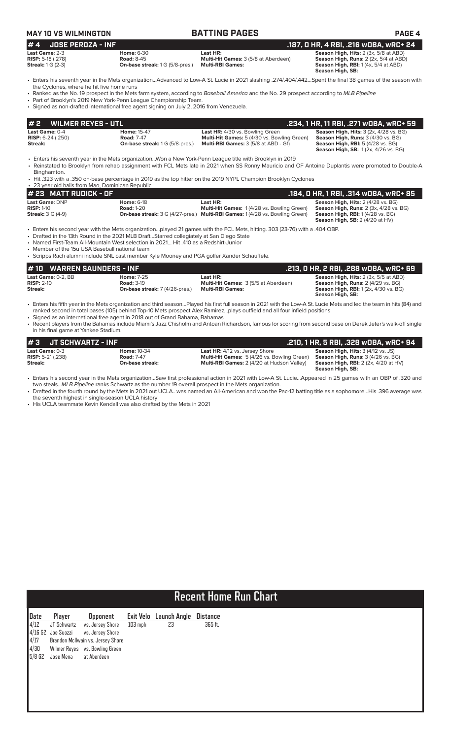| <b>MAY 10 VS WILMINGTON</b>                                                    |                                                                                                                                                                                                                                                                                 | <b>BATTING PAGES</b>                                                                                                                                                                                                                                                                                               | <b>PAGE 4</b>                                                                                                                                               |
|--------------------------------------------------------------------------------|---------------------------------------------------------------------------------------------------------------------------------------------------------------------------------------------------------------------------------------------------------------------------------|--------------------------------------------------------------------------------------------------------------------------------------------------------------------------------------------------------------------------------------------------------------------------------------------------------------------|-------------------------------------------------------------------------------------------------------------------------------------------------------------|
| <b>JOSE PEROZA - INF</b><br>#4                                                 |                                                                                                                                                                                                                                                                                 |                                                                                                                                                                                                                                                                                                                    | .187, 0 HR, 4 RBI, .216 wOBA, wRC+ 24                                                                                                                       |
| Last Game: 2-3<br><b>RISP: 5-18 (.278)</b><br><b>Streak: 1 G (2-3)</b>         | <b>Home: 6-30</b><br><b>Road: 8-45</b><br>On-base streak: 1 G (5/8-pres.)                                                                                                                                                                                                       | Last HR:<br>Multi-Hit Games: 3 (5/8 at Aberdeen)<br><b>Multi-RBI Games:</b>                                                                                                                                                                                                                                        | Season High, Hits: 2 (3x, 5/8 at ABD)<br><b>Season High, Runs:</b> 2 (2x, 5/4 at ABD)<br><b>Season High, RBI:</b> 1 (4x, 5/4 at ABD)<br>Season High, SB:    |
|                                                                                |                                                                                                                                                                                                                                                                                 | • Enters his seventh year in the Mets organizationAdvanced to Low-A St. Lucie in 2021 slashing .274/.404/.442Spent the final 38 games of the season with                                                                                                                                                           |                                                                                                                                                             |
| the Cyclones, where he hit five home runs                                      | • Part of Brooklyn's 2019 New York-Penn League Championship Team.<br>• Signed as non-drafted international free agent signing on July 2, 2016 from Venezuela.                                                                                                                   | • Ranked as the No. 19 prospect in the Mets farm system, according to Baseball America and the No. 29 prospect according to MLB Pipeline                                                                                                                                                                           |                                                                                                                                                             |
| <b>WILMER REYES - UTL</b><br>#2                                                |                                                                                                                                                                                                                                                                                 |                                                                                                                                                                                                                                                                                                                    | .234, 1 HR, 11 RBI, .271 wOBA, wRC+ 59                                                                                                                      |
| Last Game: 0-4                                                                 | Home: 15-47                                                                                                                                                                                                                                                                     | Last HR: 4/30 vs. Bowling Green                                                                                                                                                                                                                                                                                    | Season High, Hits: 3 (2x, 4/28 vs. BG)                                                                                                                      |
| <b>RISP:</b> $6-24$ (.250)<br>Streak:                                          | <b>Road: 7-47</b><br><b>On-base streak:</b> 1 G (5/8-pres.)                                                                                                                                                                                                                     | Multi-Hit Games: 5 (4/30 vs. Bowling Green)<br><b>Multi-RBI Games:</b> 3 (5/8 at ABD - G1)                                                                                                                                                                                                                         | Season High, Runs: 3 (4/30 vs. BG)<br><b>Season High, RBI: 5 (4/28 vs. BG)</b><br><b>Season High, SB:</b> 1(2x, 4/26 vs. BG)                                |
| Binghamton.                                                                    |                                                                                                                                                                                                                                                                                 | Enters his seventh year in the Mets organizationWon a New York-Penn League title with Brooklyn in 2019<br>• Reinstated to Brooklyn from rehab assignment with FCL Mets late in 2021 when SS Ronny Mauricio and OF Antoine Duplantis were promoted to Double-A                                                      |                                                                                                                                                             |
|                                                                                |                                                                                                                                                                                                                                                                                 | • Hit .323 with a .350 on-base percentage in 2019 as the top hitter on the 2019 NYPL Champion Brooklyn Cyclones                                                                                                                                                                                                    |                                                                                                                                                             |
| • 23 year old hails from Mao, Dominican Republic<br># 23 MATT RUDICK - OF      |                                                                                                                                                                                                                                                                                 |                                                                                                                                                                                                                                                                                                                    | .184, 0 HR, 1 RBI, .314 wOBA, wRC+ 85                                                                                                                       |
| Last Game: DNP                                                                 | <b>Home: 6-18</b>                                                                                                                                                                                                                                                               | Last HR:                                                                                                                                                                                                                                                                                                           | Season High, Hits: 2 (4/28 vs. BG)                                                                                                                          |
| <b>RISP: 1-10</b><br><b>Streak: 3 G (4-9)</b>                                  | <b>Road: 1-20</b>                                                                                                                                                                                                                                                               | Multi-Hit Games: 1 (4/28 vs. Bowling Green)<br>On-base streak: 3 G (4/27-pres.) Multi-RBI Games: 1 (4/28 vs. Bowling Green)                                                                                                                                                                                        | Season High, Runs: 2 (3x, 4/28 vs. BG)<br><b>Season High, RBI:</b> 1 (4/28 vs. BG)<br><b>Season High, SB:</b> $2(4/20$ at HV)                               |
| • Member of the 15u USA Baseball national team<br><b>WARREN SAUNDERS - INF</b> | • Drafted in the 13th Round in the 2021 MLB DraftStarred collegiately at San Diego State<br>• Named First-Team All-Mountain West selection in 2021 Hit .410 as a Redshirt-Junior<br>• Scripps Rach alumni include SNL cast member Kyle Mooney and PGA golfer Xander Schauffele. |                                                                                                                                                                                                                                                                                                                    |                                                                                                                                                             |
| 10<br>Last Game: 0-2, BB                                                       | Home: 7-25                                                                                                                                                                                                                                                                      | Last HR:                                                                                                                                                                                                                                                                                                           | .213, 0 HR, 2 RBI, .288 w0BA, wRC+ 69<br>Season High, Hits: 2 (3x, 5/5 at ABD)                                                                              |
| $RISP: 2-10$<br>Streak:                                                        | <b>Road: 3-19</b><br>On-base streak: 7 (4/26-pres.)                                                                                                                                                                                                                             | Multi-Hit Games: 3 (5/5 at Aberdeen)<br><b>Multi-RBI Games:</b>                                                                                                                                                                                                                                                    | Season High, Runs: 2 (4/29 vs. BG)<br><b>Season High, RBI:</b> 1 (2x, 4/30 vs. BG)<br>Season High, SB:                                                      |
|                                                                                | • Signed as an international free agent in 2018 out of Grand Bahama, Bahamas                                                                                                                                                                                                    | · Enters his fifth year in the Mets organization and third seasonPlayed his first full season in 2021 with the Low-A St. Lucie Mets and led the team in hits (84) and<br>ranked second in total bases (105) behind Top-10 Mets prospect Alex Ramirezplays outfield and all four infield positions                  |                                                                                                                                                             |
| in his final game at Yankee Stadium.                                           |                                                                                                                                                                                                                                                                                 | • Recent players from the Bahamas include Miami's Jazz Chisholm and Antoan Richardson, famous for scoring from second base on Derek Jeter's walk-off single                                                                                                                                                        |                                                                                                                                                             |
| <b>JT SCHWARTZ - INF</b><br>#3                                                 |                                                                                                                                                                                                                                                                                 |                                                                                                                                                                                                                                                                                                                    | .210, 1 HR, 5 RBI, .328 wOBA, wRC+ 94                                                                                                                       |
| Last Game: 0-3<br><b>RISP:</b> 5-21 (.238)<br>Streak:                          | <b>Home: 10-34</b><br><b>Road: 7-47</b><br>On-base streak:                                                                                                                                                                                                                      | <b>Last HR:</b> 4/12 vs. Jersey Shore<br>Multi-Hit Games: 5 (4/26 vs. Bowling Green)<br>Multi-RBI Games: 2 (4/20 at Hudson Valley)                                                                                                                                                                                 | <b>Season High, Hits:</b> $3(4/12 \text{ vs. JS})$<br>Season High, Runs: 3 (4/26 vs. BG)<br><b>Season High, RBI:</b> 2 (2x, 4/20 at HV)<br>Season High, SB: |
| the seventh highest in single-season UCLA history                              | two stealsMLB Pipeline ranks Schwartz as the number 19 overall prospect in the Mets organization.<br>• His UCLA teammate Kevin Kendall was also drafted by the Mets in 2021                                                                                                     | · Enters his second year in the Mets organizationSaw first professional action in 2021 with Low-A St. LucieAppeared in 25 games with an OBP of .320 and<br>• Drafted in the fourth round by the Mets in 2021 out UCLAwas named an All-American and won the Pac-12 batting title as a sophomoreHis .396 average was |                                                                                                                                                             |
|                                                                                |                                                                                                                                                                                                                                                                                 |                                                                                                                                                                                                                                                                                                                    |                                                                                                                                                             |
|                                                                                |                                                                                                                                                                                                                                                                                 |                                                                                                                                                                                                                                                                                                                    |                                                                                                                                                             |
|                                                                                |                                                                                                                                                                                                                                                                                 |                                                                                                                                                                                                                                                                                                                    |                                                                                                                                                             |
|                                                                                |                                                                                                                                                                                                                                                                                 |                                                                                                                                                                                                                                                                                                                    |                                                                                                                                                             |
|                                                                                |                                                                                                                                                                                                                                                                                 |                                                                                                                                                                                                                                                                                                                    |                                                                                                                                                             |
|                                                                                |                                                                                                                                                                                                                                                                                 |                                                                                                                                                                                                                                                                                                                    |                                                                                                                                                             |

|                                             | <b>Recent Home Run Chart</b> |                                   |           |              |          |  |  |
|---------------------------------------------|------------------------------|-----------------------------------|-----------|--------------|----------|--|--|
| Date                                        | Player                       | <b>Opponent</b>                   | Exit Velo | Launch Angle | Distance |  |  |
| 4/12                                        | JT Schwartz                  | vs. Jersey Shore                  | $103$ mph | 23           | 365 ft.  |  |  |
|                                             | $4/16$ G2 Joe Suozzi         | vs. Jersey Shore                  |           |              |          |  |  |
| $\begin{array}{c} 4/17 \\ 4/30 \end{array}$ |                              | Brandon McIlwain vs. Jersey Shore |           |              |          |  |  |
|                                             |                              | Wilmer Reyes vs. Bowling Green    |           |              |          |  |  |
| $5/8$ G2                                    | Jose Mena                    | at Aberdeen                       |           |              |          |  |  |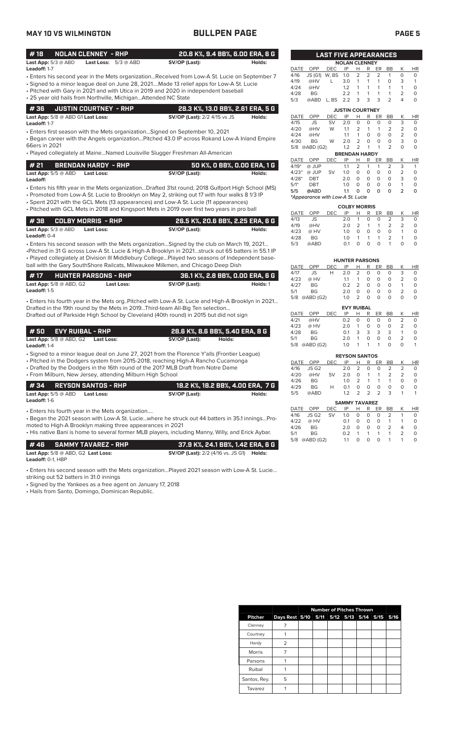|--|--|

| <b>MAY 10 VS WILMINGTON</b>                                                                                                                                                                                                                                                                                                                        | <b>BULLPEN PAGE</b>                                        |                                       |                                                                                                                                                                                                                                                                    | <b>PAGE 5</b>                                                                                                                                                                                            |
|----------------------------------------------------------------------------------------------------------------------------------------------------------------------------------------------------------------------------------------------------------------------------------------------------------------------------------------------------|------------------------------------------------------------|---------------------------------------|--------------------------------------------------------------------------------------------------------------------------------------------------------------------------------------------------------------------------------------------------------------------|----------------------------------------------------------------------------------------------------------------------------------------------------------------------------------------------------------|
| #18<br><b>NOLAN CLENNEY - RHP</b>                                                                                                                                                                                                                                                                                                                  | 20.8 K%, 9.4 BB%, 6.00 ERA, 6 G                            |                                       | <b>LAST FIVE APPEARANCES</b>                                                                                                                                                                                                                                       |                                                                                                                                                                                                          |
| Last App: $5/3$ @ ABD<br>Last Loss: 5/3 @ ABD<br>Leadoff: 1-7                                                                                                                                                                                                                                                                                      | SV/OP (Last):                                              | Holds:                                | <b>NOLAN CLENNEY</b><br>OPP<br><b>DEC</b><br>IP<br>R<br>DATE<br>H                                                                                                                                                                                                  | K<br><b>HR</b><br>ER<br><b>BB</b>                                                                                                                                                                        |
| - Enters his second year in the Mets organizationReceived from Low-A St. Lucie on September 7<br>· Signed to a minor league deal on June 28, 2021Made 13 relief apps for Low-A St. Lucie<br>• Pitched with Gary in 2021 and with Utica in 2019 and 2020 in independent baseball<br>• 25 year old hails from Northville, Michigan Attended NC State |                                                            |                                       | $\overline{2}$<br>W, BS<br>1.0<br>2<br>4/16<br>JS (G1)<br>4/19<br>@HV<br>3.0<br>$\mathbf{1}$<br>$\mathbf{1}$<br>L<br>4/24<br>1.2<br>@HV<br>$\mathbf{1}$<br>$\mathbf{1}$<br>$\mathbf{1}$<br>$\mathbf{1}$<br>4/28<br>BG<br>2.2<br>3<br>3<br>5/3<br>@ABD<br>L, BS 2.2 | $\overline{2}$<br>0<br>$\circ$<br>$\mathbf{1}$<br>$\circ$<br>1<br>3<br>$\mathbf{1}$<br>$\circ$<br>$\mathbf{1}$<br>$\mathbf{1}$<br>1<br>$\mathsf O$<br>1<br>1<br>2<br>3<br>$\overline{2}$<br>$\circ$<br>4 |
| #36<br><b>JUSTIN COURTNEY - RHP</b>                                                                                                                                                                                                                                                                                                                | 28.3 K%, 13.0 BB%, 2.61 ERA, 5 G                           |                                       | <b>JUSTIN COURTNEY</b>                                                                                                                                                                                                                                             |                                                                                                                                                                                                          |
| Last App: 5/8 @ ABD G1 Last Loss:<br>Leadoff: 1-7                                                                                                                                                                                                                                                                                                  | <b>SV/OP (Last):</b> 2/2 4/15 vs JS                        | Holds:                                | OPP<br>IP<br>R<br>DATE<br>DEC<br>H<br>4/15<br>SV<br>2.0<br>0<br>$\circ$<br>JS                                                                                                                                                                                      | K<br>ER<br><b>BB</b><br><b>HR</b><br>$\circ$<br>$\circ$<br>3<br>$\circ$                                                                                                                                  |
| • Enters first season with the Mets organizationSigned on September 10, 2021<br>. Began career with the Angels organization Pitched 43.0 IP across Rokand Low-A Inland Empire<br>66ers in 2021                                                                                                                                                     |                                                            |                                       | 2<br>$\mathbf{1}$<br>4/20<br>@HV<br>W<br>1.1<br>4/24<br>@HV<br>$\mathbf{1}$<br>$\circ$<br>1.1<br>$\overline{2}$<br>$\circ$<br>2.0<br>4/30<br><b>BG</b><br>W<br>1.2<br>2<br>$\mathbf{1}$<br>5/8 @ABD (G2)                                                           | 2<br>$\overline{2}$<br>$\mathbf{1}$<br>$\circ$<br>$\circ$<br>0<br>2<br>$\circ$<br>$\circ$<br>$\circ$<br>$\circ$<br>3<br>$\overline{2}$<br>$\Omega$<br>$\circ$<br>$\mathbf{1}$                            |
| • Played collegiately at MaineNamed Louisville Slugger Freshman All-American                                                                                                                                                                                                                                                                       |                                                            |                                       | <b>BRENDAN HARDY</b><br>IP<br>DATE<br>OPP<br>DEC<br>Н<br>R                                                                                                                                                                                                         | Κ<br>ER<br>BB<br>HR                                                                                                                                                                                      |
| # 21<br><b>BRENDAN HARDY - RHP</b><br>Last App: $5/5 @$ ABD<br><b>Last Loss:</b><br>Leadoff:                                                                                                                                                                                                                                                       | SV/OP (Last):                                              | 50 K%, 0 BB%, 0.00 ERA, 1 G<br>Holds: | @ JUP<br>1.1<br>2<br>4/19*<br>$\mathbf{1}$<br>$4/23*$<br>@ JUP<br><b>SV</b><br>1.0<br>0<br>$\circ$<br>2.0<br>$\circ$<br>$\circ$<br>$4/28*$<br>DBT                                                                                                                  | 2<br>3<br>1<br>$\mathbf{1}$<br>$\circ$<br>$\circ$<br>2<br>$\circ$<br>$\circ$<br>$\Omega$<br>$\circ$<br>3                                                                                                 |
| · Enters his fifth year in the Mets organizationDrafted 31st round, 2018 Gulfport High School (MS)<br>• Promoted from Low-A St. Lucie to Brooklyn on May 2, striking out 17 with four walks 8 1/3 IP                                                                                                                                               |                                                            |                                       | $5/1*$<br><b>DBT</b><br>1.0<br>$\circ$<br>$\circ$<br>@ABD<br>1.1<br>О<br>$\mathbf o$<br>5/5<br>*Appearance with Low-A St. Lucie                                                                                                                                    | $\circ$<br>$\circ$<br>$\mathbf 0$<br>$\mathbf{1}$<br>$\Omega$<br>O<br>$\overline{2}$<br>0                                                                                                                |
| • Spent 2021 with the GCL Mets (13 appearances) and Low-A St. Lucie (11 appearances)<br>• Pitched with GCL Mets in 2018 and Kingsport Mets in 2019 over first two years in pro ball                                                                                                                                                                |                                                            |                                       | <b>COLBY MORRIS</b>                                                                                                                                                                                                                                                |                                                                                                                                                                                                          |
|                                                                                                                                                                                                                                                                                                                                                    |                                                            |                                       | OPP<br><b>DEC</b><br>IP<br>DATE<br>Н<br>R<br>JS<br>2.0<br>$\circ$<br>4/13<br>$\mathbf{1}$                                                                                                                                                                          | К<br>ER<br>BB<br><b>HR</b><br>3<br>$\circ$<br>2<br>$\circ$                                                                                                                                               |
| #38<br><b>COLBY MORRIS - RHP</b><br>Last App: $5/3$ @ ABD<br>Last Loss:<br>Leadoff: 0-4                                                                                                                                                                                                                                                            | 26.5 K%, 20.6 BB%, 2.25 ERA, 6 G<br>SV/OP (Last):          | Holds:                                | 2<br>4/19<br>@HV<br>$\mathbf{1}$<br>2.0<br>4/23<br>@ HV<br>1.0<br>$\circ$<br>$\circ$<br>4/28<br>$\mathbf{1}$<br>BG<br>1.0<br>$\mathbf{1}$                                                                                                                          | $\overline{2}$<br>$\mathbf{1}$<br>2<br>$\circ$<br>$\circ$<br>$\Omega$<br>$\mathbf{1}$<br>$\circ$<br>$\overline{2}$<br>$\circ$<br>$\mathbf{1}$<br>$\mathbf{1}$                                            |
| • Enters his second season with the Mets organizationSigned by the club on March 19, 2021<br>-Pitched in 31 G across Low-A St. Lucie & High-A Brooklyn in 2021struck out 65 batters in 55.1 IP<br>. Played collegiately at Division III Middlebury CollegePlayed two seasons of Independent base-                                                  |                                                            |                                       | 5/3<br>0.1<br>$\circ$<br>$\Omega$<br>@ABD<br><b>HUNTER PARSONS</b>                                                                                                                                                                                                 | $\Omega$<br>$\mathbf{1}$<br>$\Omega$<br>$\circ$                                                                                                                                                          |
| ball with the Gary SouthShore Railcats, Milwaukee Milkmen, and Chicago Deep Dish                                                                                                                                                                                                                                                                   |                                                            |                                       | OPP<br>IP<br>R<br>DATE<br><b>DEC</b><br>н                                                                                                                                                                                                                          | Κ<br>ER<br>BB<br><b>HR</b><br>3                                                                                                                                                                          |
| #17<br><b>HUNTER PARSONS - RHP</b><br>Last App: 5/8 @ ABD, G2<br><b>Last Loss:</b><br>Leadoff: 1-5                                                                                                                                                                                                                                                 | 36.1 K%, 2.8 BB%, 0.00 ERA, 6 G<br>SV/OP (Last):           | Holds: 1                              | 2<br>4/17<br>JS<br>H<br>2.0<br>0<br>4/23<br>@ HV<br>O<br>1.1<br>$\mathbf{1}$<br>$\overline{2}$<br>4/27<br><b>BG</b><br>0.2<br>$\circ$<br><b>BG</b><br>$\mathbf 0$<br>$\circ$<br>5/1<br>2.0                                                                         | $\circ$<br>$\circ$<br>$\circ$<br>0<br>0<br>2<br>$\circ$<br>$\circ$<br>$\circ$<br>$\circ$<br>$\mathbf{1}$<br>$\circ$<br>$\circ$<br>2<br>$\circ$                                                           |
| . Enters his fourth year in the Mets org. Pitched with Low-A St. Lucie and High-A Brooklyn in 2021                                                                                                                                                                                                                                                 |                                                            |                                       | 2<br>$\circ$<br>5/8 @ABD (G2)<br>1.0                                                                                                                                                                                                                               | $\Omega$<br>$\circ$<br>$\Omega$<br>$\Omega$                                                                                                                                                              |
| Drafted in the 19th round by the Mets in 2019Third-team All-Big Ten selection<br>Drafted out of Parkside High School by Cleveland (40th round) in 2015 but did not sign                                                                                                                                                                            |                                                            |                                       | <b>EVY RUIBAL</b><br>DATE<br>OPP<br>DEC<br>IP<br>R<br>Н                                                                                                                                                                                                            | Κ<br>ER<br>BB<br><b>HR</b>                                                                                                                                                                               |
|                                                                                                                                                                                                                                                                                                                                                    |                                                            |                                       | $\circ$<br>4/21<br>@HV<br>0.2<br>0<br>$\circ$<br>4/23<br>@ HV<br>2.0<br>$\overline{1}$                                                                                                                                                                             | $\circ$<br>2<br>0<br>0<br>$\circ$<br>$\circ$<br>2<br>$\circ$                                                                                                                                             |
| # 50<br><b>EVY RUIBAL - RHP</b><br>Last App: $5/8$ @ ABD, G2<br><b>Last Loss:</b><br>Leadoff: 1-4                                                                                                                                                                                                                                                  | 28.6 K%, 8.6 BB%, 5.40 ERA, 8 G<br>SV/OP (Last):<br>Holds: |                                       | 3<br>4/28<br>BG<br>0.1<br>3<br>5/1<br>BG<br>2.0<br>$\overline{1}$<br>0<br>5/8 @ABD (G2)<br>1.0<br>$\overline{1}$<br>1                                                                                                                                              | 3<br>3<br>0<br>2<br>0<br>0<br>0<br>0<br>1<br>0<br>$\mathbf{1}$                                                                                                                                           |
| • Signed to a minor league deal on June 27, 2021 from the Florence Y'alls (Frontier League)                                                                                                                                                                                                                                                        |                                                            |                                       | <b>REYSON SANTOS</b>                                                                                                                                                                                                                                               |                                                                                                                                                                                                          |
| • Pitched in the Dodgers system from 2015-2018, reaching High-A Rancho Cucamonga<br>• Drafted by the Dodgers in the 16th round of the 2017 MLB Draft from Notre Dame                                                                                                                                                                               |                                                            |                                       | DATE<br>OPP<br>DEC<br>IP<br>H<br>R<br>4/16<br>JS G <sub>2</sub><br>2.0<br>2<br>0                                                                                                                                                                                   | BB<br>К<br>ER<br>HR<br>2<br>0<br>2<br>0                                                                                                                                                                  |
| • From Milburn, New Jersey, attending Milburn High School                                                                                                                                                                                                                                                                                          |                                                            |                                       | 4/20<br>@HV<br>SV<br>2.0<br>0<br>$\mathbf{1}$                                                                                                                                                                                                                      | 1<br>2<br>2<br>0                                                                                                                                                                                         |
| #34<br><b>REYSON SANTOS - RHP</b><br>Last App: $5/5 @$ ABD<br><b>Last Loss:</b>                                                                                                                                                                                                                                                                    | 18.2 K%, 18.2 BB%, 4.00 ERA, 7 G<br>SV/OP (Last):          | Holds:                                | 4/26<br>BG<br>1.0<br>2<br>1<br>4/29<br>0<br>$\mathsf O$<br>H<br>0.1<br>BG<br>2<br>5/5<br>@ABD<br>1.2<br>2                                                                                                                                                          | $\circ$<br>1<br>$\mathbf{1}$<br>0<br>0<br>$\mathsf O$<br>0<br>0<br>$\overline{2}$<br>3<br>1<br>$\mathbf{1}$                                                                                              |
|                                                                                                                                                                                                                                                                                                                                                    |                                                            |                                       | <b>SAMMY TAVAREZ</b><br>IP<br>OPP<br>DEC<br><u>н</u><br>$\mathbb{R}$<br>DATE                                                                                                                                                                                       | Κ<br>HR<br>ER BB                                                                                                                                                                                         |
| Leadoff: 1-6                                                                                                                                                                                                                                                                                                                                       |                                                            |                                       |                                                                                                                                                                                                                                                                    |                                                                                                                                                                                                          |
| • Enters his fourth year in the Mets organization<br>- Began the 2021 season with Low-A St. Luciewhere he struck out 44 batters in 35.1 inningsPro-<br>moted to High-A Brooklyn making three appearances in 2021<br>• His native Bani is home to several former MLB players, including Manny, Willy, and Erick Aybar.                              |                                                            |                                       | 4/16<br>JS G <sub>2</sub><br>SV<br>1.0<br>0<br>0<br>4/22<br>@ HV<br>0.1<br>0<br>0<br>$\mathsf O$<br>$\circ$<br>4/26<br>ΒG<br>2.0<br>5/1<br>ΒG<br>0.2<br>$\mathbf{1}$<br>$\overline{1}$                                                                             | 0<br>2<br>$\mathbf{1}$<br>0<br>0<br>$\mathbf{1}$<br>1<br>0<br>0<br>2<br>4<br>0<br>$\circ$<br>1<br>$\mathbf{1}$<br>2                                                                                      |

• Signed by the Yankees as a free agent on January 17, 2018

• Hails from Santo, Domingo, Dominican Republic.

| 4/20        | @HV                              | W          | 1.1                   | $\overline{2}$      | 1             | 1              | $\overline{2}$ | 2                       | $\mathbf 0$ |
|-------------|----------------------------------|------------|-----------------------|---------------------|---------------|----------------|----------------|-------------------------|-------------|
| 4/24        | @HV                              |            | 1.1                   | 1                   | 0             | 0              | 0              | $\overline{2}$          | 0           |
| 4/30        | BG                               | W          | 2.0                   | $\overline{2}$      | $\Omega$      | $\Omega$       | 0              | 3                       | 0           |
|             | 5/8 @ABD (G2)                    |            | 1.2                   | $\overline{2}$      | 1             | 1              | $\overline{2}$ | $\Omega$                | O           |
|             |                                  |            | <b>BRENDAN HARDY</b>  |                     |               |                |                |                         |             |
| DATE        | OPP                              | <b>DEC</b> | IP                    | Н                   | R             | ER             | BB             | Κ                       | <b>HR</b>   |
| $4/19*$     | @ JUP                            |            | 1.1                   | $\overline{2}$      | 1             | 1              | $\overline{2}$ | 3                       | 1           |
| $4/23*$     | @ JUP                            | SV         | 1.0                   | $\circ$             | $\mathbf 0$   | $\overline{O}$ | 0              | $\overline{2}$          | 0           |
| $4/28*$     | <b>DBT</b>                       |            | 2.0                   | $\Omega$            | $\Omega$      | O              | 0              | 3                       | 0           |
| $5/1*$      | <b>DBT</b>                       |            | 1.0                   | $\Omega$            | 0             | O              | 0              | 1                       | 0           |
| 5/5         | @ABD                             |            | 1.1                   | O                   | O             | 0              | O              | $\overline{\mathbf{2}}$ | 0           |
|             | *Appearance with Low-A St. Lucie |            |                       |                     |               |                |                |                         |             |
|             |                                  |            | <b>COLBY MORRIS</b>   |                     |               |                |                |                         |             |
| <b>DATE</b> | OPP                              | <b>DEC</b> | IP                    | Н                   | R             | ER             | <b>BB</b>      | K                       | <b>HR</b>   |
| 4/13        | <b>JS</b>                        |            | 2.0                   | 1                   | $\Omega$      | 0              | $\overline{2}$ | 3                       | $\circ$     |
| 4/19        | @HV                              |            | 2.0                   | 2                   | 1             | 1              | $\overline{2}$ | $\overline{2}$          | 0           |
| 4/23        | @ HV                             |            | 1.0                   | O                   | $\Omega$      | $\Omega$       | $\mathbf 0$    | 1                       | 0           |
| 4/28        | <b>BG</b>                        |            | 1.0                   | 1                   | 1             | 1              | 2              | 1                       | 0           |
| 5/3         | @ABD                             |            | 0.1                   | $\Omega$            | $\Omega$      | $\Omega$       | $\mathbf{1}$   | $\Omega$                | $\Omega$    |
|             |                                  |            |                       |                     |               |                |                |                         |             |
|             |                                  |            | <b>HUNTER PARSONS</b> |                     |               |                |                |                         |             |
| <b>DATE</b> | OPP                              | <b>DEC</b> | IP                    | Н                   | R             | ER             | <b>BB</b>      | Κ                       | HR          |
| 4/17        | <b>JS</b>                        | Н          | 2.0<br>1.1            | $\overline{2}$<br>1 | O<br>$\Omega$ | 0<br>0         | 0              | 3                       | 0           |
| 4/23        | @ HV                             |            |                       |                     |               |                | 0              | $\overline{2}$<br>1     | 0           |
| 4/27        | <b>BG</b>                        |            | 0.2                   | $\overline{2}$      | O             | $\Omega$       | 0              |                         | 0           |
| 5/1         | <b>BG</b>                        |            | 2.0                   | $\Omega$            | O             | 0              | 0              | $\overline{2}$          | 0           |
| 5/8         | @ABD (G2)                        |            | 1.0                   | $\overline{2}$      | O             | 0              | $\Omega$       | $\mathbf 0$             | 0           |
|             |                                  |            | <b>EVY RUIBAL</b>     |                     |               |                |                |                         |             |
| <b>DATE</b> | OPP                              | <b>DEC</b> | IP                    | Н                   | R             | ER             | BB             | Κ                       | <b>HR</b>   |
| 4/21        | @HV                              |            | 0.2                   | $\Omega$            | $\Omega$      | 0              | 0              | $\overline{2}$          | 0           |
| 4/23        | @ HV                             |            | 2.0                   | 1                   | 0             | 0              | 0              | $\overline{2}$          | 0           |
| 4/28        | <b>BG</b>                        |            | 0.1                   | 3                   | 3             | 3              | 3              | $\mathbf{1}$            | 0           |

| <b>REYSON SANTOS</b> |           |            |            |               |   |               |               |               |          |
|----------------------|-----------|------------|------------|---------------|---|---------------|---------------|---------------|----------|
| DATE                 | OPP       | <b>DEC</b> | IP         | н             | R | <b>ER</b>     | ВB            | K             | HR.      |
| 4/16                 | JS G2     |            | 2.0        | 2             | O | O             | 2             | $\mathcal{P}$ | Ο        |
| 4/20                 | @HV       | SV         | 2.0        | Ο             |   |               | $\mathcal{P}$ | $\mathcal{P}$ | Ο        |
| 4/26                 | <b>BG</b> |            | 1.0        | 2             |   | 1             | 1             | O             | $\Omega$ |
| 4/29                 | <b>BG</b> | н          | $\Omega$ 1 | O             | O | O             | O             | O             | Ο        |
| 5/5                  | @ABD      |            | 1.2        | $\mathcal{P}$ | 2 | $\mathcal{P}$ | 3             |               | 1        |
| <b>SAMMY TAVAREZ</b> |           |            |            |               |   |               |               |               |          |

| SAMMIT IAVAREZ |                   |  |               |              |          |          |                |                |              |
|----------------|-------------------|--|---------------|--------------|----------|----------|----------------|----------------|--------------|
| DATE OPP       |                   |  | DEC IP H R ER |              |          |          | BB.            | K              | HR           |
| 4/16           | JSG2 SV 1.0 0 0 0 |  |               |              |          |          | $\mathcal{L}$  |                | O.           |
| 4/22           | @ HV              |  | $\Omega$ 1    | $\Omega$     | $\Omega$ | $\Omega$ | $\overline{1}$ |                | $\Omega$     |
| 4/26           | BG.               |  | 2 O           | $\Omega$     | $\Omega$ | $\Omega$ | $\mathcal{L}$  | $\overline{4}$ |              |
| 5/1            | <b>BG</b>         |  | 0.2           |              | $\sim$ 1 |          | $1 \quad 1$    | $\overline{2}$ | <sup>o</sup> |
|                | 5/8 @ABD (G2)     |  | 11            | <sup>n</sup> | $\Omega$ | $\Omega$ | $\overline{1}$ | 1              | <sup>n</sup> |

|               |                                              | <b>Number of Pitches Thrown</b> |  |  |  |  |  |  |
|---------------|----------------------------------------------|---------------------------------|--|--|--|--|--|--|
| Pitcher       | Days Rest 5/10 5/11 5/12 5/13 5/14 5/15 5/16 |                                 |  |  |  |  |  |  |
| Clenney       |                                              |                                 |  |  |  |  |  |  |
| Courtney      |                                              |                                 |  |  |  |  |  |  |
| Hardy         | フ                                            |                                 |  |  |  |  |  |  |
| <b>Morris</b> |                                              |                                 |  |  |  |  |  |  |
| Parsons       |                                              |                                 |  |  |  |  |  |  |
| Ruibal        |                                              |                                 |  |  |  |  |  |  |
| Santos, Rey.  | 5                                            |                                 |  |  |  |  |  |  |
| Tavarez       |                                              |                                 |  |  |  |  |  |  |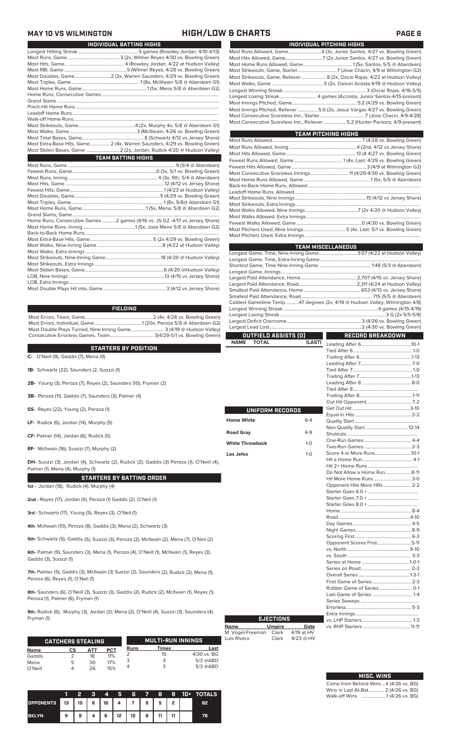## **MAY 10 VS WILMINGTON HIGH/LOW & CHARTS PAGE 6**

|                         | INDIVIDUAL BATTING HIGHS                                                   |
|-------------------------|----------------------------------------------------------------------------|
|                         |                                                                            |
|                         |                                                                            |
|                         |                                                                            |
|                         |                                                                            |
|                         | Most Doubles, Game 2 (3x, Warren Saunders, 4/29 vs. Bowling Green)         |
|                         |                                                                            |
|                         |                                                                            |
|                         |                                                                            |
|                         |                                                                            |
|                         |                                                                            |
|                         |                                                                            |
|                         |                                                                            |
|                         |                                                                            |
|                         |                                                                            |
|                         |                                                                            |
|                         | Most Extra-Base Hits, Game 2 (4x, Warren Saunders, 4/29 vs. Bowling Green) |
|                         |                                                                            |
|                         |                                                                            |
|                         | <b>TEAM BATTING HIGHS</b>                                                  |
|                         |                                                                            |
|                         |                                                                            |
|                         |                                                                            |
|                         |                                                                            |
|                         |                                                                            |
|                         |                                                                            |
|                         |                                                                            |
|                         |                                                                            |
|                         |                                                                            |
|                         | Home Runs, Consecutive Games2 games (4/16 vs. JS G2 -4/17 vs Jersey Shore) |
|                         |                                                                            |
|                         |                                                                            |
|                         |                                                                            |
|                         |                                                                            |
|                         |                                                                            |
|                         |                                                                            |
| Most Stolen Bases, Game | 6 (4/20 @Hudson Valley)                                                    |

**FIELDING**

Most Errors, Team, Game......................................................... 2 (4x, 4/28 vs. Bowling Green) Most Errors, Individual, Game........................................1 (20x, Peroza 5/8 @ Aberdeen G2) Most Double Plays Turned, Nine-Inning Game............................ 3 (4/19 @ Hudson Valley) Consecutive Errorless Games, Team..................................... 3(4/29-5/1 vs. Bowling Green)

### **STARTERS BY POSITION**

**C-** O'Neill (9), Gaddis (7), Mena (9)

- **1B-** Schwartz (22), Saunders (2, Suozzi (1)
- **2B-** Young (3), Peroza (7), Reyes (2), Saunders (10), Fryman (2)
- **3B-** Peroza (11), Gaddis (7), Saunders (3), Palmer (4)
- **SS-** Reyes (22), Young (2), Peroza (1)
- **LF-** Rudick (6), Jordan (14), Murphy (5)
- **CF-** Palmer (14), Jordan (6), Rudick (5)

**RF-** McIlwain (16), Suozzi (7), Murphy (2)

**DH-** Suozzi (3), Jordan (4), Schwartz (2), Rudick (2), Gaddis (3) Peroza (1), O'Neill (4), Palmer (1), Mena (4), Murphy (1)

### **STARTERS BY BATTING ORDER**

**1st -** Jordan (18), Rudick (4), Murphy (4)

**2nd -** Reyes (17), Jordan (5), Peroza (1) Gaddis (2). O'Neil (1)

**3rd -** Schwartz (17), Young (5), Reyes (3), O'Neil (1)

**4th-** McIlwain (10), Peroza (8), Gaddis (3), Mena (2), Schwartz (3)

**5th-** Schwartz (5), Gaddis (5), Suozzi (3), Peroza (2), McIlwain (2), Mena (7), O'Neil (2)

**6th-** Palmer (9), Saunders (3), Mena (1), Peroza (4), O'Neill (1), McIlwain (1), Reyes (3), Gaddis (3), Suozzi (1)

**7th-** Palmer (5), Gaddis (3), McIlwain (3) Suozzi (2), Saunders (2), Rudick (2), Mena (1), Peroza (6), Reyes (1), O'Neil (1)

**8th-** Saunders (6), O'Neill (3), Suozzi (3), Gaddis (2), Rudick (2), McIlwain (1), Reyes (1), Peroza (1), Palmer (6), Fryman (1)

**9th-** Rudick (6), Murphy (3), Jordan (2), Mena (2), O'Neill (4), Suozzi (3), Saunders (4), Fryman (1)

|             | <b>CATCHERS STEALING</b> |     |            |      | <b>MULTI-RUN INNINGS</b> |               |
|-------------|--------------------------|-----|------------|------|--------------------------|---------------|
| <b>Name</b> | СS                       | АТТ | <b>PCT</b> | Runs | Times                    | Last          |
| Gaddis      |                          | 18  | 11%        |      | 15                       | $4/30$ vs. BG |
| Mena        | 5                        | 30  | 17%        |      | 3                        | $5/3$ @ABD    |
| O'Neill     |                          | 26  | 15%        |      |                          | $5/3$ @ABD    |

|                  |      | 2  | я | 4  | Я  | 6               | $\mathbf{v}$ | 8  | 9 | 10+ | <b>TOTALS</b> |
|------------------|------|----|---|----|----|-----------------|--------------|----|---|-----|---------------|
| <b>OPPONENTS</b> | ∥ 13 | 15 | 6 | 16 | 4  |                 | 9            | 5  | 2 |     | 82            |
| <b>BKLYN</b>     | 9    | 9  |   | 6  | 12 | 12 <sub>2</sub> | 6            | 11 |   |     | 76            |

| INDIVIDUAL PITCHING HIGHS                                                                                                                                    |  |
|--------------------------------------------------------------------------------------------------------------------------------------------------------------|--|
| Most Runs Allowed, Game4 (3x, Junior Santos, 4/27 vs. Bowling Green)                                                                                         |  |
|                                                                                                                                                              |  |
|                                                                                                                                                              |  |
|                                                                                                                                                              |  |
| Most Strikeouts, Game, Reliever 8 (2x, Oscar Rojas, 4/22 at Hudson Valley)                                                                                   |  |
|                                                                                                                                                              |  |
|                                                                                                                                                              |  |
|                                                                                                                                                              |  |
|                                                                                                                                                              |  |
| Most Innings Pitched, Reliever 5.0 (2x, Jesus Vargas 4/27 vs. Bowling Green)<br>Most Consecutive Scoreless Inn., Reliever  5.2 (Hunter Parsons, 4/9-present) |  |

| <b>TEAM PITCHING HIGHS</b> |  |  |  |  |  |
|----------------------------|--|--|--|--|--|
|                            |  |  |  |  |  |
|                            |  |  |  |  |  |
|                            |  |  |  |  |  |
|                            |  |  |  |  |  |
|                            |  |  |  |  |  |
|                            |  |  |  |  |  |
|                            |  |  |  |  |  |
|                            |  |  |  |  |  |
|                            |  |  |  |  |  |
|                            |  |  |  |  |  |
|                            |  |  |  |  |  |
|                            |  |  |  |  |  |
|                            |  |  |  |  |  |
|                            |  |  |  |  |  |
|                            |  |  |  |  |  |
|                            |  |  |  |  |  |

| <b>TEAM MISCELLANEOUS</b>   |         |                                                                              |       |  |  |  |  |
|-----------------------------|---------|------------------------------------------------------------------------------|-------|--|--|--|--|
|                             |         | Longest Game, Time, Nine-Inning Game 3:07 (4/22 at Hudson Valley)            |       |  |  |  |  |
|                             |         |                                                                              |       |  |  |  |  |
|                             |         |                                                                              |       |  |  |  |  |
|                             |         |                                                                              |       |  |  |  |  |
|                             |         |                                                                              |       |  |  |  |  |
|                             |         |                                                                              |       |  |  |  |  |
|                             |         |                                                                              |       |  |  |  |  |
|                             |         |                                                                              |       |  |  |  |  |
|                             |         | Coldest Gametime Temp. 47 degrees (2x, 4/19 @ Hudson Valley, Wilmington 4/8) |       |  |  |  |  |
|                             |         |                                                                              |       |  |  |  |  |
|                             |         |                                                                              |       |  |  |  |  |
|                             |         |                                                                              |       |  |  |  |  |
|                             |         |                                                                              |       |  |  |  |  |
| OUTFIELD ASSISTS (O)        |         | <b>RECORD BREAKDOWN</b>                                                      |       |  |  |  |  |
| <b>NAME</b><br><b>TOTAL</b> | (LAST)  |                                                                              |       |  |  |  |  |
|                             |         |                                                                              |       |  |  |  |  |
|                             |         |                                                                              |       |  |  |  |  |
|                             |         |                                                                              |       |  |  |  |  |
|                             |         |                                                                              |       |  |  |  |  |
|                             |         |                                                                              |       |  |  |  |  |
|                             |         |                                                                              |       |  |  |  |  |
|                             |         |                                                                              |       |  |  |  |  |
|                             |         |                                                                              |       |  |  |  |  |
|                             |         |                                                                              |       |  |  |  |  |
| UNIFORM RECORDS             |         |                                                                              |       |  |  |  |  |
|                             |         |                                                                              |       |  |  |  |  |
| <b>Home White</b>           | $6 - 4$ |                                                                              |       |  |  |  |  |
| <b>Road Gray</b>            | $4 - 9$ |                                                                              |       |  |  |  |  |
|                             |         |                                                                              |       |  |  |  |  |
| <b>White Throwback</b>      | $1 - 0$ |                                                                              |       |  |  |  |  |
|                             |         |                                                                              |       |  |  |  |  |
| Los Jefes                   | $1 - 0$ | Score 4 or More Runs10-1                                                     |       |  |  |  |  |
|                             |         |                                                                              |       |  |  |  |  |
|                             |         | Do Not Allow a Home Run8-11                                                  |       |  |  |  |  |
|                             |         | Hit More Home Runs 3-0                                                       |       |  |  |  |  |
|                             |         | Opponent Hits More HRs 2-2                                                   |       |  |  |  |  |
|                             |         |                                                                              |       |  |  |  |  |
|                             |         |                                                                              |       |  |  |  |  |
|                             |         |                                                                              |       |  |  |  |  |
|                             |         |                                                                              |       |  |  |  |  |
|                             |         |                                                                              |       |  |  |  |  |
|                             |         |                                                                              |       |  |  |  |  |
|                             |         |                                                                              |       |  |  |  |  |
|                             |         |                                                                              |       |  |  |  |  |
|                             |         | Opponent Scores First5-11                                                    |       |  |  |  |  |
|                             |         |                                                                              |       |  |  |  |  |
|                             |         |                                                                              |       |  |  |  |  |
|                             |         |                                                                              |       |  |  |  |  |
|                             |         |                                                                              |       |  |  |  |  |
|                             |         |                                                                              |       |  |  |  |  |
|                             |         | First Game of Series                                                         | $2-3$ |  |  |  |  |

| <b>EJECTIONS</b> |               |             |  |  |  |  |  |  |
|------------------|---------------|-------------|--|--|--|--|--|--|
| <b>Name</b>      | <b>Umpire</b> | Date        |  |  |  |  |  |  |
| M. Vogel-Freeman | Clark         | 4/19 at HV  |  |  |  |  |  |  |
| Luis Rivera      | Clark         | $4/23$ @ HV |  |  |  |  |  |  |

| <b>MISC. WINS</b>                      |
|----------------------------------------|
| Come from Behind Wins  4 (4/26 vs. BG) |
| Wins in Last At-Bat 2 (4/26 vs. BG)    |
|                                        |

Last Game of Series ..................................1-4 Series Sweeps .................................................

Extra Innings .....................................................

vs. RHP Starters ........................................11-11

Errorless.

vs. LHP Starters.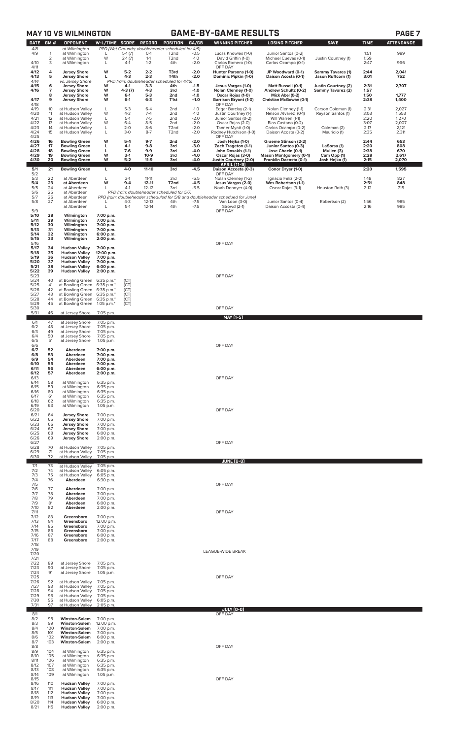## **MAY 10 VS WILMINGTON GAME-BY-GAME RESULTS PAGE 7**

| <b>DATE</b>          | GM#                 | <b>OPPONENT</b>                                                      | W-L/TIME SCORE                       |                   | <b>RECORD</b>          | <b>POSITION</b>                                                        | GA/GB            | <b>WINNING PITCHER</b>                                                                          | <b>LOSING PITCHER</b>                                   | <b>SAVE</b>                              | <b>TIME</b>  | <b>ATTENDANCE</b> |
|----------------------|---------------------|----------------------------------------------------------------------|--------------------------------------|-------------------|------------------------|------------------------------------------------------------------------|------------------|-------------------------------------------------------------------------------------------------|---------------------------------------------------------|------------------------------------------|--------------|-------------------|
| 4/8<br>4/9           | 1                   | at Wilmington<br>at Wilmington                                       | L                                    | $5-1(7)$          | $O-1$                  | PPD (Wet Grounds; doubleheader scheduled for 4/9)<br>T <sub>2</sub> nd | $-0.5$           | Lucas Knowles (1-0)                                                                             | Junior Santos (0-2)                                     |                                          | 1:51         | 989               |
| 4/10                 | $\overline{2}$<br>3 | at Wilmington<br>at Wilmington                                       | W<br>L                               | $2-1(7)$<br>$4-1$ | $1 - 1$<br>$1 - 2$     | T <sub>2</sub> nd<br>4th                                               | $-1.0$<br>$-2.0$ | David Griffin (1-0)<br>Carlos Romero (1-0)                                                      | Michael Cuevas (0-1)<br>Carlos Ocampo (0-1)             | Justin Courtney (1)                      | 1:59<br>2:47 | 966               |
| 4/11<br>4/12         | 4                   | <b>Jersey Shore</b>                                                  | w                                    | $5-2$             | $2 - 2$                | T3rd                                                                   | $-2.0$           | OFF DAY<br>Hunter Parsons (1-0)                                                                 | JP Woodward (0-1)                                       | <b>Sammy Tavares (1)</b>                 | 2:44         | 2,041             |
| 4/13<br>4/14         | 5                   | <b>Jersey Shore</b><br>vs. Jersey Shore                              | г                                    | $4-3$             | $2 - 3$                | T4th<br>PPD (rain; doubleheader scheduled for 4/16)                    | -2.0             | Dominic Pipkin (1-0)                                                                            | Daison Acosta (0-1)                                     | Jason Ruffcorn (1)                       | 3:01         | 752               |
| 4/15<br>4/16         | 6<br>7              | <b>Jersey Shore</b><br><b>Jersey Shore</b>                           | W<br>W                               | $4-1$<br>4-3 (7)  | $3-3$<br>4-3           | 4th<br>3rd                                                             | $-1.5$<br>$-1.0$ | Jesus Vargas (1-0)<br>Nolan Clenney (1-0)                                                       | Matt Russell (0-1)<br>Andrew Schultz (0-2)              | Justin Courtney (2)<br>Sammy Tavarez (2) | 2:31<br>1:57 | 2,707             |
| 4/17<br>4/18         | 8<br>9              | <b>Jersey Shore</b><br><b>Jersey Shore</b>                           | w<br>W                               | $6-1$<br>$6-1$    | $5-3$<br>$6 - 3$       | 2nd<br>T <sub>1st</sub>                                                | $-1.0$<br>$+1.0$ | Oscar Rojas (1-0)<br><b>Garrison Bryant (1-0)</b><br>OFF DAY                                    | Mick Abel (0-2)<br>Christian McGowan (0-1)              |                                          | 1:50<br>2:38 | 1,777<br>1,400    |
| 4/19<br>4/20         | 10<br>11            | at Hudson Valley<br>at Hudson Valley                                 | Г<br>W                               | $5-3$<br>$4 - 3$  | $6 - 4$<br>$7 - 4$     | 2nd<br>2nd                                                             | $-1.0$<br>$-1.0$ | Edgar Barclay (2-1)<br>Justin Courtney (1-)                                                     | Nolan Clenney (1-1)<br>Nelson Alvarez (0-1)             | Carson Coleman (1)<br>Reyson Santos (1)  | 2:31<br>3:03 | 2,027<br>1,553    |
| 4/21<br>4/22         | 12<br>13            | at Hudson Valley<br>at Hudson Valley                                 | L<br>W                               | $5-1$<br>$6 - 4$  | $7-5$<br>$8-5$         | 2 <sub>nd</sub><br>2 <sub>nd</sub>                                     | $-2.0$<br>$-2.0$ | Junior Santos (0-2)<br>Oscar Rojas (2-0)                                                        | Will Warren (1-1)<br>Blas Castano (0-2)                 |                                          | 2:20<br>3:07 | 1,270<br>2,007    |
| 4/23<br>4/24         | 14<br>15            | at Hudson Valley<br>at Hudson Valley                                 | L<br>L                               | $2 - 0$<br>$3-0$  | $8-6$<br>$8 - 7$       | T <sub>2nd</sub><br>T <sub>2</sub> nd                                  | $-2.0$<br>$-2.0$ | Tanner Myatt (1-0)<br>Rodney Hutchison (1-0)                                                    | Carlos Ocampo (0-2)<br>Daison Acosta (0-2)              | Coleman (2)<br>Mauricio (1)              | 2:17<br>2:35 | 2,121<br>2.311    |
| 4/25<br>4/26         | 16                  | <b>Bowling Green</b>                                                 | W                                    | $5-4$             | $9 - 7$                | 2nd                                                                    | $-2.0$           | OFF DAY<br>Josh Hejka (1-0)                                                                     | Graeme Stinson (2-2)                                    |                                          | 2:44         | 653               |
| 4/27<br>4/28         | 17<br>18            | <b>Bowling Green</b><br><b>Bowling Green</b>                         | L<br>L                               | $4-1$<br>$7-6$    | $9-8$<br>$9-9$         | 3rd<br>3rd                                                             | $-3.0$<br>-4.0   | Zach Trageton (1-1)<br>John Doxakis (1-1)                                                       | Junior Santos (0-3)<br>Jose Chacin (0-1)                | LaSorsa (1)<br>Mullen (3)                | 2:20<br>2:38 | 808<br>670        |
| 4/29<br>4/30         | 19<br>20            | <b>Bowling Green</b><br><b>Bowling Green</b>                         | W<br>W                               | $3-1$<br>$5 - 2$  | $10-9$<br>$11-9$       | 3rd<br>3rd                                                             | -4.0<br>-4.0     | Oscar Rojas (3-0)<br>Justin Courtney (2-0)                                                      | <b>Mason Montgomery (0-1)</b><br>Franklin Dacosta (0-1) | Cam Opp (1)<br><u>Josh Hejka (1)</u>     | 2:28<br>2:15 | 2,617<br>2,070    |
| 5/1<br>5/2           | 21                  | <b>Bowling Green</b>                                                 | L                                    | 4-0               | 11-10                  | 3rd                                                                    | -4.5             | APRIL (11-9)<br>Daison Accosta (0-3)<br>OFF DAY                                                 | Conor Dryer (1-0)                                       |                                          | 2:20         | 1,595             |
| 5/3<br>5/4           | 22<br>23            | at Aberdeen<br>at Aberdeen                                           | L<br>W                               | $3-1$<br>$9 - 4$  | $11 - 11$<br>$12 - 11$ | 3rd<br>T <sub>2</sub> nd                                               | $-5.5$<br>$-4.5$ | Nolan Clenney (1-2)<br>Jesus Vargas (2-0)                                                       | Ignacio Feliz (2-0)<br>Wes Robertson (1-1)              |                                          | 1:48<br>2:51 | 827<br>848        |
| 5/5<br>5/6           | 24<br>25            | at Aberdeen<br>at Aberdeen                                           | L                                    | $4-1$             | $12 - 12$              | 3rd<br>PPD (rain: doubleheader scheduled for 5/7)                      | $-5.5$           | Noah Denoyer (4-0)                                                                              | Oscar Rojas (3-1)                                       | Houston Roth (3)                         | 2:12         | 715               |
| 5/7<br>5/8           | 26<br>27            | at Aberdeen<br>at Aberdeen                                           |                                      | $4 - 3$           | $12 - 13$              | 4th                                                                    | $-7.5$           | PPD (rain; doubleheader scheduled for 5/8 and doubleheader schedued for June)<br>Van Loon (3-0) | Junior Santos (0-4)                                     | Robertson (2)                            | 1:56         | 985               |
| 5/9                  |                     | at Aberdeen                                                          | Г                                    | $5-1$             | $12 - 14$              | 4th                                                                    | $-7.5$           | Strowd (2-1)<br>OFF DAY                                                                         | Daison Accosta (0-4)                                    |                                          | 2:16         | 985               |
| 5/10<br>5/11         | 28<br>29            | Wilmington<br>Wilmington                                             | 7:00 p.m.<br>7:00 p.m.               |                   |                        |                                                                        |                  |                                                                                                 |                                                         |                                          |              |                   |
| 5/12<br>5/13         | 30<br>31            | Wilmington<br>Wilmington                                             | 7:00 p.m.<br>7:00 p.m.               |                   |                        |                                                                        |                  |                                                                                                 |                                                         |                                          |              |                   |
| 5/14<br>5/15         | 32<br>33            | Wilmington<br>Wilmington                                             | 6:00 p.m.<br>2:00 p.m.               |                   |                        |                                                                        |                  | OFF DAY                                                                                         |                                                         |                                          |              |                   |
| 5/16<br>5/17<br>5/18 | 34<br>35            | <b>Hudson Valley</b><br><b>Hudson Valley</b>                         | 7:00 p.m.<br>12:00 p.m.              |                   |                        |                                                                        |                  |                                                                                                 |                                                         |                                          |              |                   |
| 5/19<br>5/20         | 36<br>37            | <b>Hudson Valley</b><br><b>Hudson Valley</b>                         | 7:00 p.m.<br>7:00 p.m.               |                   |                        |                                                                        |                  |                                                                                                 |                                                         |                                          |              |                   |
| 5/21<br>5/22         | 38<br>39            | <b>Hudson Valley</b><br><b>Hudson Valley</b>                         | 6:00 p.m.<br>2:00 p.m.               |                   |                        |                                                                        |                  |                                                                                                 |                                                         |                                          |              |                   |
| 5/23<br>5/24         | 40                  | at Bowling Green                                                     | 6:35 p.m.*                           | (CT)              |                        |                                                                        |                  | OFF DAY                                                                                         |                                                         |                                          |              |                   |
| 5/25<br>5/26         | 41<br>42            | at Bowling Green<br>at Bowling Green                                 | 6:35 p.m.*<br>6:35 p.m.*             | (CT)<br>(CT)      |                        |                                                                        |                  |                                                                                                 |                                                         |                                          |              |                   |
| 5/27<br>5/28         | 43<br>44            | at Bowling Green<br>at Bowling Green                                 | $6:35$ p.m. $*$<br>6:35 p.m.*        | (CT)<br>(CT)      |                        |                                                                        |                  |                                                                                                 |                                                         |                                          |              |                   |
| 5/29<br>5/30<br>5/31 | 45<br>46            | at Bowling Green<br>at Jersey Shore                                  | 1:05 p.m.*<br>7:05 p.m.              | (CT)              |                        |                                                                        |                  | OFF DAY                                                                                         |                                                         |                                          |              |                   |
| 6/1                  | 47                  | at Jersey Shore                                                      | 7:05 p.m.                            |                   |                        |                                                                        |                  | MAY [1-5]                                                                                       |                                                         |                                          |              |                   |
| 6/2<br>6/3           | 48<br>49            | at Jersey Shore<br>at Jersey Shore                                   | 7:05 p.m.<br>7:05 p.m.               |                   |                        |                                                                        |                  |                                                                                                 |                                                         |                                          |              |                   |
| 6/4<br>6/5           | 50<br>51            | at Jersey Shore<br>at Jersey Shore                                   | 7:05 p.m.<br>$1:05$ p.m.             |                   |                        |                                                                        |                  |                                                                                                 |                                                         |                                          |              |                   |
| 6/6<br>6/7           | 52                  | Aberdeen                                                             | 7:00 p.m.                            |                   |                        |                                                                        |                  | OFF DAY                                                                                         |                                                         |                                          |              |                   |
| 6/8<br>6/9<br>6/10   | 53<br>54<br>55      | Aberdeen<br>Aberdeen<br>Aberdeen                                     | 7:00 p.m.<br>7:00 p.m.<br>7:00 p.m.  |                   |                        |                                                                        |                  |                                                                                                 |                                                         |                                          |              |                   |
| 6/11<br>6/12         | 56<br>57            | Aberdeen<br>Aberdeen                                                 | 6:00 p.m.<br>2:00 p.m.               |                   |                        |                                                                        |                  |                                                                                                 |                                                         |                                          |              |                   |
| 6/13<br>6/14         | 58                  | at Wilmington                                                        | 6:35 p.m.                            |                   |                        |                                                                        |                  | OFF DAY                                                                                         |                                                         |                                          |              |                   |
| 6/15<br>6/16         | 59<br>60            | at Wilmington<br>at Wilmington                                       | 6:35 p.m.<br>6:35 p.m.               |                   |                        |                                                                        |                  |                                                                                                 |                                                         |                                          |              |                   |
| 6/17<br>6/18         | 61<br>62            | at Wilmington<br>at Wilmington                                       | 6:35 p.m.<br>6:35 p.m.               |                   |                        |                                                                        |                  |                                                                                                 |                                                         |                                          |              |                   |
| 6/19<br>6/20         | 63                  | at Wilmington                                                        | 1:05 p.m.                            |                   |                        |                                                                        |                  | OFF DAY                                                                                         |                                                         |                                          |              |                   |
| 6/21<br>6/22<br>6/23 | 64<br>65<br>66      | <b>Jersey Shore</b><br><b>Jersey Shore</b><br><b>Jersey Shore</b>    | 7:00 p.m.<br>7:00 p.m.<br>7:00 p.m.  |                   |                        |                                                                        |                  |                                                                                                 |                                                         |                                          |              |                   |
| 6/24<br>6/25         | 67<br>68            | <b>Jersey Shore</b><br><b>Jersey Shore</b>                           | 7:00 p.m.<br>6:00 p.m.               |                   |                        |                                                                        |                  |                                                                                                 |                                                         |                                          |              |                   |
| 6/26<br>6/27         | 69                  | <b>Jersey Shore</b>                                                  | 2:00 p.m.                            |                   |                        |                                                                        |                  | OFF DAY                                                                                         |                                                         |                                          |              |                   |
| 6/28<br>6/29         | 70<br>71            | at Hudson Valley<br>at Hudson Valley                                 | 7:05 p.m.<br>7:05 p.m.               |                   |                        |                                                                        |                  |                                                                                                 |                                                         |                                          |              |                   |
| 6/30                 | 72                  | at Hudson Valley                                                     | 7:05 p.m.                            |                   |                        |                                                                        |                  | <b>JUNE (0-0)</b>                                                                               |                                                         |                                          |              |                   |
| 7/1<br>7/2<br>7/3    | 73<br>74<br>75      | at Hudson Valley<br>at Hudson Valley<br>at Hudson Valley             | 7:05 p.m.<br>6:05 p.m.<br>6:05 p.m.  |                   |                        |                                                                        |                  |                                                                                                 |                                                         |                                          |              |                   |
| 7/4<br>7/5           | 76                  | Aberdeen                                                             | 6:30 p.m.                            |                   |                        |                                                                        |                  | OFF DAY                                                                                         |                                                         |                                          |              |                   |
| 7/6<br>7/7           | 77<br>78            | Aberdeen<br>Aberdeen                                                 | 7:00 p.m.<br>7:00 p.m.               |                   |                        |                                                                        |                  |                                                                                                 |                                                         |                                          |              |                   |
| 7/8<br>7/9           | 79<br>81            | Aberdeen<br>Aberdeen                                                 | 7:00 p.m.<br>6:00 p.m.               |                   |                        |                                                                        |                  |                                                                                                 |                                                         |                                          |              |                   |
| 7/10<br>7/11         | 82                  | Aberdeen                                                             | 2:00 p.m.                            |                   |                        |                                                                        |                  | OFF DAY                                                                                         |                                                         |                                          |              |                   |
| 7/12<br>7/13<br>7/14 | 83<br>84<br>85      | Greensboro<br>Greensboro<br>Greensboro                               | 7:00 p.m.<br>12:00 p.m.<br>7:00 p.m. |                   |                        |                                                                        |                  |                                                                                                 |                                                         |                                          |              |                   |
| 7/15<br>7/16         | 86<br>87            | Greensboro<br>Greensboro                                             | 7:00 p.m.<br>6:00 p.m.               |                   |                        |                                                                        |                  |                                                                                                 |                                                         |                                          |              |                   |
| 7/17<br>7/18         | 88                  | Greensboro                                                           | 2:00 p.m.                            |                   |                        |                                                                        |                  |                                                                                                 |                                                         |                                          |              |                   |
| 7/19<br>7/20         |                     |                                                                      |                                      |                   |                        |                                                                        |                  | LEAGUE-WIDE BREAK                                                                               |                                                         |                                          |              |                   |
| 7/21<br>7/22         | 89                  | at Jersey Shore                                                      | 7:05 p.m.                            |                   |                        |                                                                        |                  |                                                                                                 |                                                         |                                          |              |                   |
| 7/23<br>7/24         | 90<br>91            | at Jersey Shore<br>at Jersey Shore                                   | 7:05 p.m.<br>1:05 p.m.               |                   |                        |                                                                        |                  |                                                                                                 |                                                         |                                          |              |                   |
| 7/25<br>7/26<br>7/27 | 92<br>93            | at Hudson Valley<br>at Hudson Valley                                 | 7:05 p.m.<br>7:05 p.m.               |                   |                        |                                                                        |                  | OFF DAY                                                                                         |                                                         |                                          |              |                   |
| 7/28<br>7/29         | 94<br>95            | at Hudson Valley<br>at Hudson Valley                                 | 7:05 p.m.<br>7:05 p.m.               |                   |                        |                                                                        |                  |                                                                                                 |                                                         |                                          |              |                   |
| 7/30<br>7/31         | 96<br>97            | at Hudson Valley<br>at Hudson Valley                                 | 6:05 p.m.<br>2:05 p.m.               |                   |                        |                                                                        |                  |                                                                                                 |                                                         |                                          |              |                   |
| 8/1                  |                     |                                                                      |                                      |                   |                        |                                                                        |                  | JULY (0-0)<br>OFF DAY                                                                           |                                                         |                                          |              |                   |
| 8/2<br>8/3<br>8/4    | 98<br>99<br>100     | <b>Winston-Salem</b><br><b>Winston-Salem</b><br><b>Winston-Salem</b> | 7:00 p.m.<br>12:00 p.m.              |                   |                        |                                                                        |                  |                                                                                                 |                                                         |                                          |              |                   |
| 8/5<br>8/6           | 101<br>102          | <b>Winston-Salem</b><br><b>Winston-Salem</b>                         | 7:00 p.m.<br>7:00 p.m.<br>6:00 p.m.  |                   |                        |                                                                        |                  |                                                                                                 |                                                         |                                          |              |                   |
| 8/7<br>8/8           | 103                 | <b>Winston-Salem</b>                                                 | 2:00 p.m.                            |                   |                        |                                                                        |                  | OFF DAY                                                                                         |                                                         |                                          |              |                   |
| 8/9<br>8/10          | 104<br>105          | at Wilmington<br>at Wilmington                                       | 6:35 p.m.<br>6:35 p.m.               |                   |                        |                                                                        |                  |                                                                                                 |                                                         |                                          |              |                   |
| 8/11<br>8/12         | 106<br>107          | at Wilmington<br>at Wilmington                                       | 6:35 p.m.<br>6:35 p.m.               |                   |                        |                                                                        |                  |                                                                                                 |                                                         |                                          |              |                   |
| 8/13<br>8/14         | 108<br>109          | at Wilmington<br>at Wilmington                                       | 6:35 p.m.<br>1:05 p.m.               |                   |                        |                                                                        |                  | OFF DAY                                                                                         |                                                         |                                          |              |                   |
| 8/15<br>8/16<br>8/17 | 110<br>111          | <b>Hudson Valley</b><br><b>Hudson Valley</b>                         | 7:00 p.m.<br>7:00 p.m.               |                   |                        |                                                                        |                  |                                                                                                 |                                                         |                                          |              |                   |
| 8/18<br>8/19         | 112<br>113          | <b>Hudson Valley</b><br><b>Hudson Valley</b>                         | 7:00 p.m.<br>7:00 p.m.               |                   |                        |                                                                        |                  |                                                                                                 |                                                         |                                          |              |                   |
| 8/21 115             |                     | 8/20 114 Hudson Valley 6:00 p.m.<br>Hudson Valley 2:00 p.m.          |                                      |                   |                        |                                                                        |                  |                                                                                                 |                                                         |                                          |              |                   |